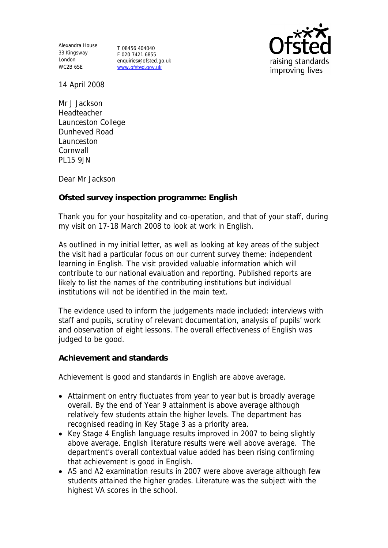Alexandra House 33 Kingsway London WC2B 6SE

T 08456 404040 F 020 7421 6855 enquiries@ofsted.go.uk www.ofsted.gov.uk



14 April 2008

Mr J Jackson **Headteacher** Launceston College Dunheved Road Launceston Cornwall PL15 9JN

Dear Mr Jackson

**Ofsted survey inspection programme: English** 

Thank you for your hospitality and co-operation, and that of your staff, during my visit on 17-18 March 2008 to look at work in English.

As outlined in my initial letter, as well as looking at key areas of the subject the visit had a particular focus on our current survey theme: independent learning in English. The visit provided valuable information which will contribute to our national evaluation and reporting. Published reports are likely to list the names of the contributing institutions but individual institutions will not be identified in the main text.

The evidence used to inform the judgements made included: interviews with staff and pupils, scrutiny of relevant documentation, analysis of pupils' work and observation of eight lessons. The overall effectiveness of English was judged to be good.

**Achievement and standards** 

Achievement is good and standards in English are above average.

- Attainment on entry fluctuates from year to year but is broadly average overall. By the end of Year 9 attainment is above average although relatively few students attain the higher levels. The department has recognised reading in Key Stage 3 as a priority area.
- Key Stage 4 English language results improved in 2007 to being slightly above average. English literature results were well above average. The department's overall contextual value added has been rising confirming that achievement is good in English.
- AS and A2 examination results in 2007 were above average although few students attained the higher grades. Literature was the subject with the highest VA scores in the school.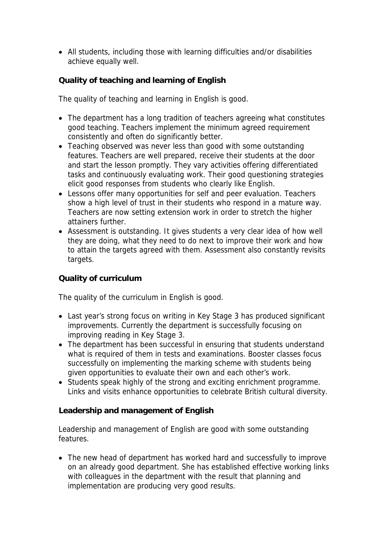All students, including those with learning difficulties and/or disabilities achieve equally well.

**Quality of teaching and learning of English**

The quality of teaching and learning in English is good.

- The department has a long tradition of teachers agreeing what constitutes good teaching. Teachers implement the minimum agreed requirement consistently and often do significantly better.
- Teaching observed was never less than good with some outstanding features. Teachers are well prepared, receive their students at the door and start the lesson promptly. They vary activities offering differentiated tasks and continuously evaluating work. Their good questioning strategies elicit good responses from students who clearly like English.
- Lessons offer many opportunities for self and peer evaluation. Teachers show a high level of trust in their students who respond in a mature way. Teachers are now setting extension work in order to stretch the higher attainers further.
- Assessment is outstanding. It gives students a very clear idea of how well they are doing, what they need to do next to improve their work and how to attain the targets agreed with them. Assessment also constantly revisits targets.

## **Quality of curriculum**

The quality of the curriculum in English is good.

- Last year's strong focus on writing in Key Stage 3 has produced significant improvements. Currently the department is successfully focusing on improving reading in Key Stage 3.
- The department has been successful in ensuring that students understand what is required of them in tests and examinations. Booster classes focus successfully on implementing the marking scheme with students being given opportunities to evaluate their own and each other's work.
- Students speak highly of the strong and exciting enrichment programme. Links and visits enhance opportunities to celebrate British cultural diversity.

**Leadership and management of English**

Leadership and management of English are good with some outstanding features.

 The new head of department has worked hard and successfully to improve on an already good department. She has established effective working links with colleagues in the department with the result that planning and implementation are producing very good results.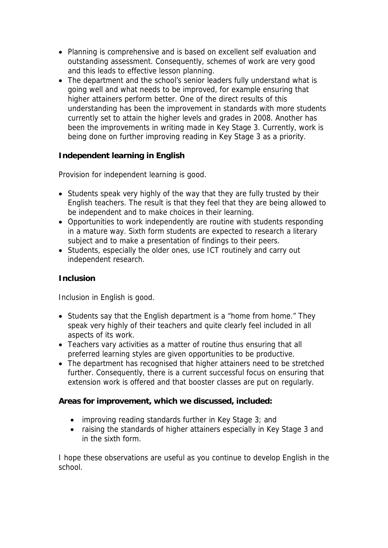- Planning is comprehensive and is based on excellent self evaluation and outstanding assessment. Consequently, schemes of work are very good and this leads to effective lesson planning.
- The department and the school's senior leaders fully understand what is going well and what needs to be improved, for example ensuring that higher attainers perform better. One of the direct results of this understanding has been the improvement in standards with more students currently set to attain the higher levels and grades in 2008. Another has been the improvements in writing made in Key Stage 3. Currently, work is being done on further improving reading in Key Stage 3 as a priority.

**Independent learning in English** 

Provision for independent learning is good.

- Students speak very highly of the way that they are fully trusted by their English teachers. The result is that they feel that they are being allowed to be independent and to make choices in their learning.
- Opportunities to work independently are routine with students responding in a mature way. Sixth form students are expected to research a literary subject and to make a presentation of findings to their peers.
- Students, especially the older ones, use ICT routinely and carry out independent research.

**Inclusion**

Inclusion in English is good.

- Students say that the English department is a "home from home." They speak very highly of their teachers and quite clearly feel included in all aspects of its work.
- Teachers vary activities as a matter of routine thus ensuring that all preferred learning styles are given opportunities to be productive.
- The department has recognised that higher attainers need to be stretched further. Consequently, there is a current successful focus on ensuring that extension work is offered and that booster classes are put on regularly.

**Areas for improvement, which we discussed, included:**

- improving reading standards further in Key Stage 3; and
- raising the standards of higher attainers especially in Key Stage 3 and in the sixth form.

I hope these observations are useful as you continue to develop English in the school.